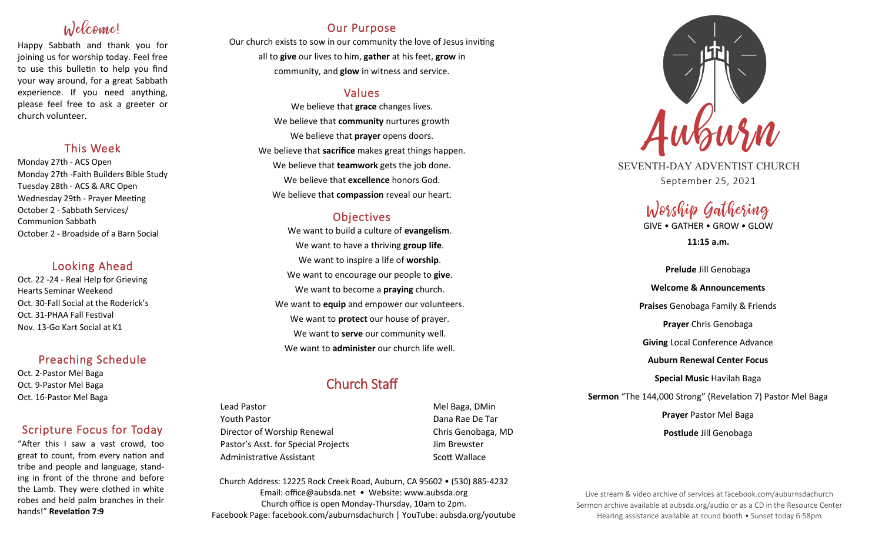# Welcome!

Happy Sabbath and thank you for joining us for worship today. Feel free to use this bulletin to help you find your way around, for a great Sabbath experience. If you need anything, please feel free to ask a greeter or church volunteer.

### This Week

Monday 27th - ACS Open Monday 27th -Faith Builders Bible Study Tuesday 28th - ACS & ARC Open Wednesday 29th - Prayer Meeting October 2 - Sabbath Services/ Communion Sabbath October 2 - Broadside of a Barn Social

### Looking Ahead

Oct. 22 -24 - Real Help for Grieving Hearts Seminar Weekend Oct. 30-Fall Social at the Roderick's Oct. 31-PHAA Fall Festival Nov. 13-Go Kart Social at K1

## Preaching Schedule

Oct. 2-Pastor Mel Baga Oct. 9-Pastor Mel Baga Oct. 16-Pastor Mel Baga

## Scripture Focus for Today

"After this I saw a vast crowd, too great to count, from every nation and tribe and people and language, standing in front of the throne and before the Lamb. They were clothed in white robes and held palm branches in their hands!" **Revelation 7:9**

## Our Purpose

Our church exists to sow in our community the love of Jesus inviting all to **give** our lives to him, **gather** at his feet, **grow** in community, and **glow** in witness and service.

## Values

We believe that **grace** changes lives. We believe that **community** nurtures growth We believe that **prayer** opens doors. We believe that **sacrifice** makes great things happen. We believe that **teamwork** gets the job done. We believe that **excellence** honors God. We believe that **compassion** reveal our heart.

## **Objectives**

We want to build a culture of **evangelism**. We want to have a thriving **group life**. We want to inspire a life of **worship**. We want to encourage our people to **give**. We want to become a **praying** church. We want to **equip** and empower our volunteers. We want to **protect** our house of prayer. We want to **serve** our community well. We want to **administer** our church life well.

# Church Staff

Lead Pastor **Mel Baga, DMin** Youth Pastor Dana Rae De Tar Director of Worship Renewal **Chris Genobaga**, MD Pastor's Asst. for Special Projects Fig. 3.1 Jim Brewster Administrative Assistant National Controllery Scott Wallace

Church Address: 12225 Rock Creek Road, Auburn, CA 95602 • (530) 885-4232 Email: office@aubsda.net • Website: www.aubsda.org Church office is open Monday-Thursday, 10am to 2pm. Facebook Page: facebook.com/auburnsdachurch | YouTube: aubsda.org/youtube



SEVENTH-DAY ADVENTIST CHURCH September 25, 2021

# Worship Gathering GIVE • GATHER • GROW • GLOW

**11:15 a.m.**

**Prelude** Jill Genobaga **Welcome & Announcements Praises** Genobaga Family & Friends **Prayer** Chris Genobaga **Giving** Local Conference Advance **Auburn Renewal Center Focus Special Music** Havilah Baga **Sermon** "The 144,000 Strong" (Revelation 7) Pastor Mel Baga **Prayer** Pastor Mel Baga **Postlude** Jill Genobaga

Live stream & video archive of services at facebook.com/auburnsdachurch Sermon archive available at aubsda.org/audio or as a CD in the Resource Center Hearing assistance available at sound booth • Sunset today 6:58pm